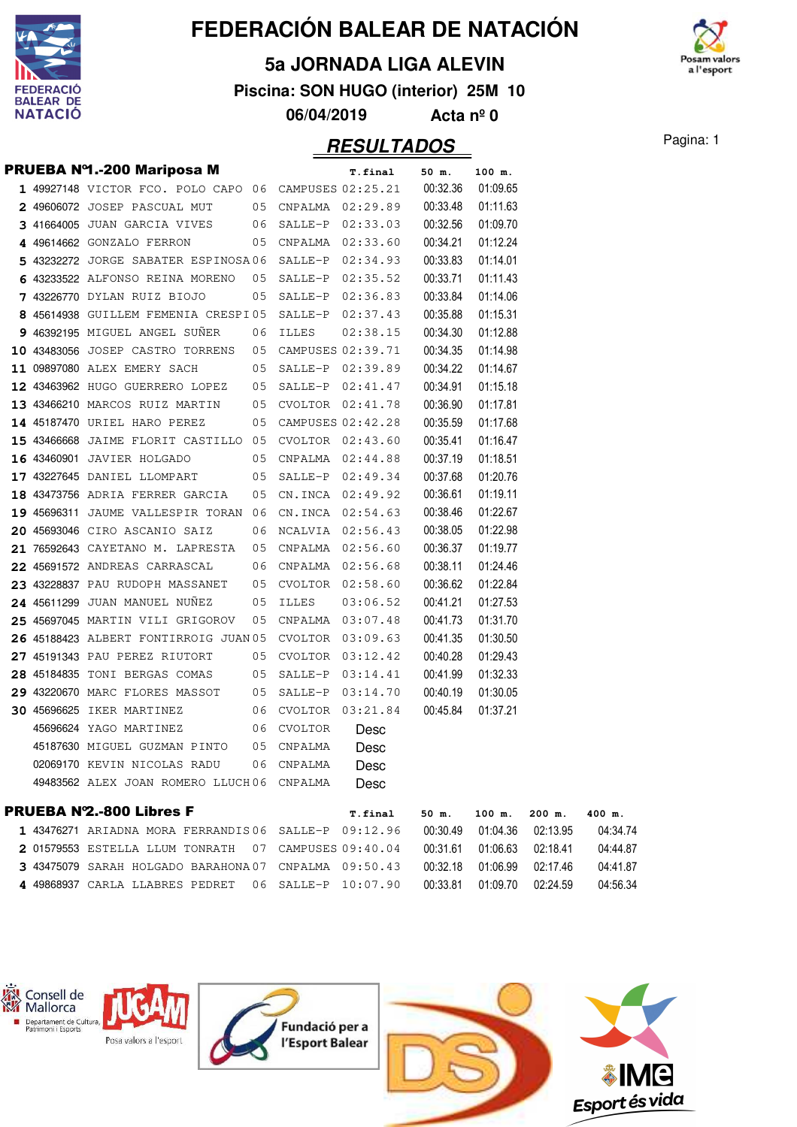

#### **5a JORNADA LIGA ALEVIN**

**Piscina: SON HUGO (interior) 25M 10**

**06/04/2019 Acta nº 0**

Pagina: 1 **RESULTADOS**

m valo a l'esport

|  | PRUEBA Nº1.-200 Mariposa M                            |    |                | <b>T.final</b>    | 50 m.    | 100 m.   |
|--|-------------------------------------------------------|----|----------------|-------------------|----------|----------|
|  | 1 49927148 VICTOR FCO. POLO CAPO 06 CAMPUSES 02:25.21 |    |                |                   | 00:32.36 | 01:09.65 |
|  | 2 49606072 JOSEP PASCUAL MUT                          | 05 |                | CNPALMA 02:29.89  | 00:33.48 | 01:11.63 |
|  | 3 41664005 JUAN GARCIA VIVES                          | 06 |                | SALLE-P 02:33.03  | 00:32.56 | 01:09.70 |
|  | 4 49614662 GONZALO FERRON                             | 05 |                | CNPALMA 02:33.60  | 00:34.21 | 01:12.24 |
|  | 5 43232272 JORGE SABATER ESPINOSA06                   |    |                | SALLE-P 02:34.93  | 00:33.83 | 01:14.01 |
|  | 6 43233522 ALFONSO REINA MORENO                       | 05 |                | SALLE-P 02:35.52  | 00:33.71 | 01:11.43 |
|  | 7 43226770 DYLAN RUIZ BIOJO                           | 05 |                | SALLE-P 02:36.83  | 00:33.84 | 01:14.06 |
|  | 8 45614938 GUILLEM FEMENIA CRESPI05                   |    |                | SALLE-P 02:37.43  | 00:35.88 | 01:15.31 |
|  | 9 46392195 MIGUEL ANGEL SUNER                         | 06 | <b>ILLES</b>   | 02:38.15          | 00:34.30 | 01:12.88 |
|  | 10 43483056 JOSEP CASTRO TORRENS                      | 05 |                | CAMPUSES 02:39.71 | 00:34.35 | 01:14.98 |
|  | 11 09897080 ALEX EMERY SACH                           | 05 |                | SALLE-P 02:39.89  | 00:34.22 | 01:14.67 |
|  | 12 43463962 HUGO GUERRERO LOPEZ                       | 05 |                | SALLE-P 02:41.47  | 00:34.91 | 01:15.18 |
|  | 13 43466210 MARCOS RUIZ MARTIN                        | 05 |                | CVOLTOR 02:41.78  | 00:36.90 | 01:17.81 |
|  | 14 45187470 URIEL HARO PEREZ                          | 05 |                | CAMPUSES 02:42.28 | 00:35.59 | 01:17.68 |
|  | 15 43466668 JAIME FLORIT CASTILLO 05                  |    |                | CVOLTOR 02:43.60  | 00:35.41 | 01:16.47 |
|  | 16 43460901 JAVIER HOLGADO                            | 05 |                | CNPALMA 02:44.88  | 00:37.19 | 01:18.51 |
|  | 17 43227645 DANIEL LLOMPART                           | 05 |                | SALLE-P 02:49.34  | 00:37.68 | 01:20.76 |
|  | 18 43473756 ADRIA FERRER GARCIA                       | 05 |                | CN.INCA 02:49.92  | 00:36.61 | 01:19.11 |
|  | 19 45696311 JAUME VALLESPIR TORAN 06                  |    |                | CN. INCA 02:54.63 | 00:38.46 | 01:22.67 |
|  | 20 45693046 CIRO ASCANIO SAIZ                         | 06 |                | NCALVIA 02:56.43  | 00:38.05 | 01:22.98 |
|  | 21 76592643 CAYETANO M. LAPRESTA                      | 05 |                | CNPALMA 02:56.60  | 00:36.37 | 01:19.77 |
|  | 22 45691572 ANDREAS CARRASCAL                         | 06 |                | CNPALMA 02:56.68  | 00:38.11 | 01:24.46 |
|  | 23 43228837 PAU RUDOPH MASSANET                       | 05 |                | CVOLTOR 02:58.60  | 00:36.62 | 01:22.84 |
|  | 24 45611299 JUAN MANUEL NUNEZ                         | 05 | <b>ILLES</b>   | 03:06.52          | 00:41.21 | 01:27.53 |
|  | 25 45697045 MARTIN VILI GRIGOROV                      | 05 |                | CNPALMA 03:07.48  | 00:41.73 | 01:31.70 |
|  | 26 45188423 ALBERT FONTIRROIG JUAN 05                 |    |                | CVOLTOR 03:09.63  | 00:41.35 | 01:30.50 |
|  | 27 45191343 PAU PEREZ RIUTORT                         | 05 |                | CVOLTOR 03:12.42  | 00:40.28 | 01:29.43 |
|  | 28 45184835 TONI BERGAS COMAS                         | 05 | SALLE-P        | 03:14.41          | 00:41.99 | 01:32.33 |
|  | 29 43220670 MARC FLORES MASSOT                        | 05 | SALLE-P        | 03:14.70          | 00:40.19 | 01:30.05 |
|  | <b>30 45696625 IKER MARTINEZ</b>                      | 06 |                | CVOLTOR 03:21.84  | 00:45.84 | 01:37.21 |
|  | 45696624 YAGO MARTINEZ                                | 06 | <b>CVOLTOR</b> | Desc              |          |          |
|  | 45187630 MIGUEL GUZMAN PINTO                          | 05 | CNPALMA        | Desc              |          |          |
|  | 02069170 KEVIN NICOLAS RADU                           | 06 | CNPALMA        | Desc              |          |          |
|  | 49483562 ALEX JOAN ROMERO LLUCH06                     |    | CNPALMA        | Desc              |          |          |
|  | BBUEBA NO OAA Liless E                                |    |                |                   |          |          |

| <b>PRUEBA Nº2.-800 Libres F</b>                      | <b>T.final</b> | 50 m.    | 100 m.   | $200$ m.   | 400 m.   |
|------------------------------------------------------|----------------|----------|----------|------------|----------|
| 1 43476271 ARIADNA MORA FERRANDIS06 SALLE-P 09:12.96 |                | 00:30.49 | 01:04.36 | 02.1395    | 04:34.74 |
| 2 01579553 ESTELLA LLUM TONRATH 07 CAMPUSES 09:40.04 |                | 00:31.61 | 01:06.63 | . በ2∙18.41 | 04:44.87 |
| 3 43475079 SARAH HOLGADO BARAHONA07 CNPALMA 09:50.43 |                | 00:32.18 | ∩1∙∩6 99 | 02'17 46   | 04:41.87 |
| 4 49868937 CARLA LLABRES PEDRET 06 SALLE-P 10:07.90  |                | 00:33.81 | 01:09.70 | 02.2459    | 04:56.34 |

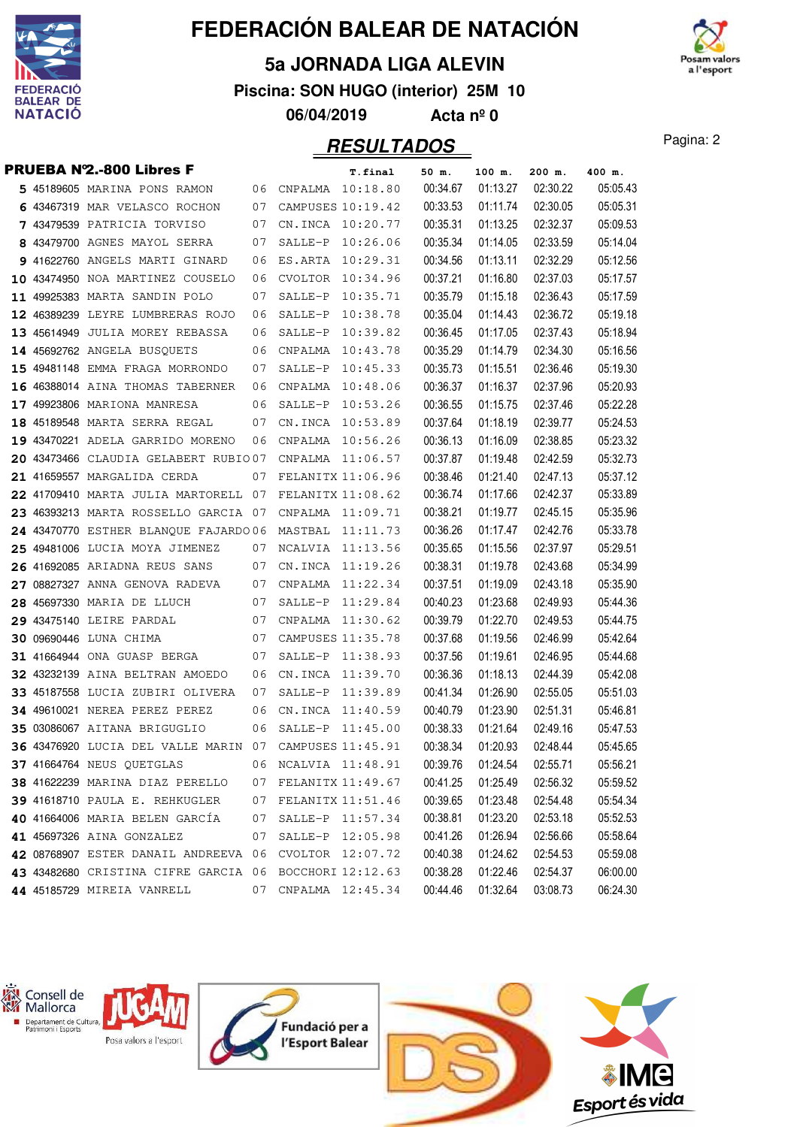

### **5a JORNADA LIGA ALEVIN**

**Piscina: SON HUGO (interior) 25M 10**

**06/04/2019 Acta nº 0**

## Pagina: 2 **RESULTADOS**

m valors a l'esport

|  | <b>PRUEBA Nº2.-800 Libres F</b>                        |    |                     | <b>T.final</b>               | 50 m.    | 100 m.   | 200 m.            | 400 m.   |
|--|--------------------------------------------------------|----|---------------------|------------------------------|----------|----------|-------------------|----------|
|  | 5 45189605 MARINA PONS RAMON                           |    | 06 CNPALMA 10:18.80 |                              | 00:34.67 | 01:13.27 | 02:30.22          | 05:05.43 |
|  | 6 43467319 MAR VELASCO ROCHON                          | 07 |                     | CAMPUSES 10:19.42            | 00:33.53 | 01:11.74 | 02:30.05          | 05:05.31 |
|  | 7 43479539 PATRICIA TORVISO                            | 07 |                     | CN.INCA 10:20.77             | 00:35.31 | 01:13.25 | 02:32.37          | 05:09.53 |
|  | 8 43479700 AGNES MAYOL SERRA                           | 07 |                     | SALLE-P 10:26.06             | 00:35.34 | 01:14.05 | 02:33.59          | 05:14.04 |
|  | 9 41622760 ANGELS MARTI GINARD                         | 06 | ES.ARTA             | 10:29.31                     | 00:34.56 | 01:13.11 | 02:32.29          | 05:12.56 |
|  | 10 43474950 NOA MARTINEZ COUSELO                       | 06 | CVOLTOR             | 10:34.96                     | 00:37.21 | 01:16.80 | 02:37.03          | 05:17.57 |
|  | 11 49925383 MARTA SANDIN POLO                          | 07 | SALLE-P             | 10:35.71                     | 00:35.79 | 01:15.18 | 02:36.43          | 05:17.59 |
|  | 12 46389239 LEYRE LUMBRERAS ROJO                       | 06 |                     | SALLE-P 10:38.78             | 00:35.04 | 01:14.43 | 02:36.72          | 05:19.18 |
|  | 13 45614949 JULIA MOREY REBASSA                        | 06 |                     | SALLE-P 10:39.82             | 00:36.45 | 01:17.05 | 02:37.43          | 05:18.94 |
|  | 14 45692762 ANGELA BUSQUETS                            | 06 | CNPALMA             | 10:43.78                     | 00:35.29 | 01:14.79 | 02:34.30          | 05:16.56 |
|  | 15 49481148 EMMA FRAGA MORRONDO                        | 07 | SALLE-P             | 10:45.33                     | 00:35.73 | 01:15.51 | 02:36.46          | 05:19.30 |
|  | 16 46388014 AINA THOMAS TABERNER                       | 06 |                     | CNPALMA 10:48.06             | 00:36.37 | 01:16.37 | 02:37.96          | 05:20.93 |
|  | 17 49923806 MARIONA MANRESA                            | 06 |                     | SALLE-P 10:53.26             | 00:36.55 | 01:15.75 | 02:37.46          | 05:22.28 |
|  | 18 45189548 MARTA SERRA REGAL                          | 07 | CN.INCA             | 10:53.89                     | 00:37.64 | 01:18.19 | 02:39.77          | 05:24.53 |
|  | 19 43470221 ADELA GARRIDO MORENO                       | 06 |                     | CNPALMA 10:56.26             | 00:36.13 | 01:16.09 | 02:38.85          | 05:23.32 |
|  | 20 43473466 CLAUDIA GELABERT RUBIO07                   |    |                     | CNPALMA 11:06.57             | 00:37.87 | 01:19.48 | 02:42.59          | 05:32.73 |
|  | 21 41659557 MARGALIDA CERDA                            | 07 |                     | FELANITX 11:06.96            | 00:38.46 | 01:21.40 | 02:47.13          | 05:37.12 |
|  | 22 41709410 MARTA JULIA MARTORELL 07                   |    |                     | FELANITX 11:08.62            | 00:36.74 | 01:17.66 | 02:42.37          | 05:33.89 |
|  | 23 46393213 MARTA ROSSELLO GARCIA 07                   |    |                     | CNPALMA 11:09.71             | 00:38.21 | 01:19.77 | 02:45.15          | 05:35.96 |
|  | 24 43470770 ESTHER BLANQUE FAJARDO 06                  |    |                     | MASTBAL 11:11.73             | 00:36.26 | 01:17.47 | 02:42.76          | 05:33.78 |
|  | 25 49481006 LUCIA MOYA JIMENEZ                         | 07 | NCALVIA 11:13.56    |                              | 00:35.65 | 01:15.56 | 02:37.97          | 05:29.51 |
|  | 26 41692085 ARIADNA REUS SANS                          | 07 |                     | CN.INCA 11:19.26             | 00:38.31 | 01:19.78 | 02:43.68          | 05:34.99 |
|  | 27 08827327 ANNA GENOVA RADEVA                         | 07 |                     | CNPALMA 11:22.34             | 00:37.51 | 01:19.09 | 02:43.18          | 05:35.90 |
|  | 28 45697330 MARIA DE LLUCH                             | 07 |                     | SALLE-P 11:29.84             | 00:40.23 | 01:23.68 | 02:49.93          | 05:44.36 |
|  | 29 43475140 LEIRE PARDAL                               | 07 |                     | CNPALMA 11:30.62             | 00:39.79 | 01:22.70 | 02:49.53          | 05:44.75 |
|  | <b>30 09690446 LUNA CHIMA</b>                          | 07 |                     | CAMPUSES 11:35.78            | 00:37.68 | 01:19.56 | 02:46.99          | 05:42.64 |
|  | 31 41664944 ONA GUASP BERGA                            | 07 |                     | SALLE-P 11:38.93             | 00:37.56 | 01:19.61 | 02:46.95          | 05:44.68 |
|  | 32 43232139 AINA BELTRAN AMOEDO                        | 06 |                     | CN.INCA 11:39.70             | 00:36.36 | 01:18.13 | 02:44.39          | 05:42.08 |
|  | 33 45187558 LUCIA ZUBIRI OLIVERA                       | 07 |                     | SALLE-P 11:39.89             | 00:41.34 | 01:26.90 | 02:55.05          | 05:51.03 |
|  | 34 49610021 NEREA PEREZ PEREZ                          | 06 |                     | CN.INCA 11:40.59             | 00:40.79 | 01:23.90 | 02:51.31          | 05:46.81 |
|  | 35 03086067 AITANA BRIGUGLIO                           | 06 |                     | SALLE-P 11:45.00             | 00:38.33 | 01:21.64 | 02:49.16          | 05:47.53 |
|  | 36 43476920 LUCIA DEL VALLE MARIN 07 CAMPUSES 11:45.91 |    |                     |                              | 00:38.34 | 01:20.93 | 02:48.44          | 05:45.65 |
|  | 37 41664764 NEUS QUETGLAS                              |    |                     | 06 NCALVIA 11:48.91 00:39.76 |          |          | 01:24.54 02:55.71 | 05:56.21 |
|  | 38 41622239 MARINA DIAZ PERELLO                        | 07 | FELANITX 11:49.67   |                              | 00:41.25 | 01:25.49 | 02:56.32          | 05:59.52 |
|  | 39 41618710 PAULA E. REHKUGLER                         | 07 | FELANITX 11:51.46   |                              | 00:39.65 | 01:23.48 | 02:54.48          | 05:54.34 |
|  | 40 41664006 MARIA BELEN GARCÍA                         | 07 |                     | SALLE-P 11:57.34             | 00:38.81 | 01:23.20 | 02:53.18          | 05:52.53 |
|  | 41 45697326 AINA GONZALEZ                              | 07 |                     | SALLE-P 12:05.98             | 00:41.26 | 01:26.94 | 02:56.66          | 05:58.64 |
|  | 42 08768907 ESTER DANAIL ANDREEVA 06                   |    | CVOLTOR 12:07.72    |                              | 00:40.38 | 01:24.62 | 02:54.53          | 05:59.08 |
|  | 43 43482680 CRISTINA CIFRE GARCIA 06                   |    | BOCCHORI 12:12.63   |                              | 00:38.28 | 01:22.46 | 02:54.37          | 06:00.00 |
|  | 44 45185729 MIREIA VANRELL                             | 07 |                     | CNPALMA 12:45.34             | 00:44.46 | 01:32.64 | 03:08.73          | 06:24.30 |

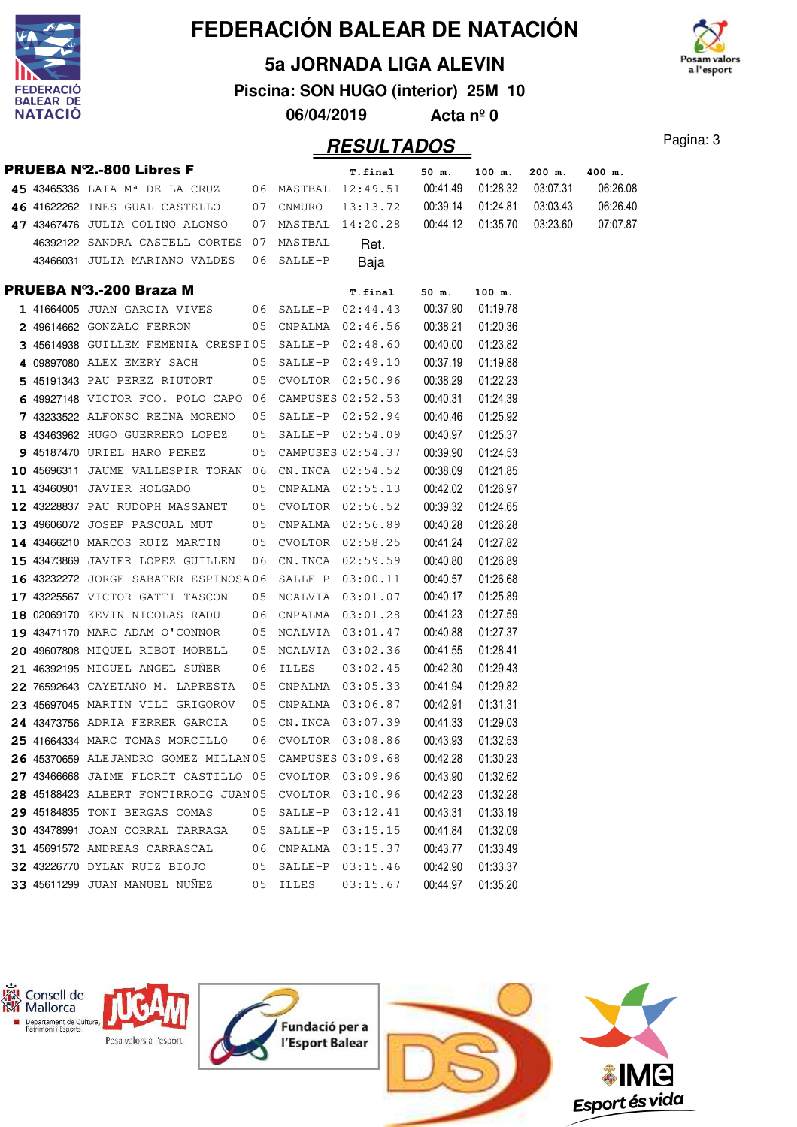

### **5a JORNADA LIGA ALEVIN**



**Piscina: SON HUGO (interior) 25M 10**

**06/04/2019 Acta nº 0**

|  | <b>PRUEBA Nº2.-800 Libres F</b>                                |    |            | <b>T.final</b>       | 50 m.    | 100 m.   | 200 m.                       | 400 m.   |
|--|----------------------------------------------------------------|----|------------|----------------------|----------|----------|------------------------------|----------|
|  | 45 43465336 LAIA M <sup>a</sup> DE LA CRUZ 06 MASTBAL 12:49.51 |    |            |                      | 00:41.49 |          | 01:28.32 03:07.31            | 06:26.08 |
|  | 46 41622262 INES GUAL CASTELLO                                 |    | 07 CNMURO  | 13:13.72 00:39.14    |          |          | 01:24.81  03:03.43           | 06:26.40 |
|  | 47 43467476 JULIA COLINO ALONSO                                |    |            | 07 MASTBAL 14:20.28  |          |          | 00:44.12  01:35.70  03:23.60 | 07:07.87 |
|  | 46392122 SANDRA CASTELL CORTES 07 MASTBAL                      |    |            | Ret.                 |          |          |                              |          |
|  | 43466031 JULIA MARIANO VALDES                                  |    | 06 SALLE-P | Baja                 |          |          |                              |          |
|  | PRUEBA Nº3.-200 Braza M                                        |    |            | <b>T.final</b>       | 50 m.    | 100 m.   |                              |          |
|  | $141664005$ JUAN GARCIA VIVES $06$ SALLE-P $02:44.43$          |    |            |                      | 00:37.90 | 01:19.78 |                              |          |
|  | 2 49614662 GONZALO FERRON                                      |    |            | 05 CNPALMA 02:46.56  | 00:38.21 | 01:20.36 |                              |          |
|  | 3 45614938 GUILLEM FEMENIA CRESPI05 SALLE-P 02:48.60           |    |            |                      | 00:40.00 | 01:23.82 |                              |          |
|  | 4 09897080 ALEX EMERY SACH                                     |    |            | 05 SALLE-P 02:49.10  | 00:37.19 | 01:19.88 |                              |          |
|  | 5 45191343 PAU PEREZ RIUTORT                                   |    |            | 05 CVOLTOR 02:50.96  | 00:38.29 | 01:22.23 |                              |          |
|  | 6 49927148 VICTOR FCO. POLO CAPO 06 CAMPUSES 02:52.53          |    |            |                      | 00:40.31 | 01:24.39 |                              |          |
|  | 7 43233522 ALFONSO REINA MORENO                                |    |            | 05 SALLE-P 02:52.94  | 00:40.46 | 01:25.92 |                              |          |
|  | 8 43463962 HUGO GUERRERO LOPEZ                                 |    |            | 05 SALLE-P 02:54.09  | 00:40.97 | 01:25.37 |                              |          |
|  | <b>9</b> 45187470 URIEL HARO PEREZ                             |    |            | 05 CAMPUSES 02:54.37 | 00:39.90 | 01:24.53 |                              |          |
|  | 10 45696311 JAUME VALLESPIR TORAN 06 CN.INCA 02:54.52          |    |            |                      | 00:38.09 | 01:21.85 |                              |          |
|  | 11 43460901 JAVIER HOLGADO                                     |    |            | 05 CNPALMA 02:55.13  | 00:42.02 | 01:26.97 |                              |          |
|  | <b>12 43228837 PAU RUDOPH MASSANET</b>                         |    |            | 05 CVOLTOR 02:56.52  | 00:39.32 | 01:24.65 |                              |          |
|  | 13 49606072 JOSEP PASCUAL MUT                                  |    |            | 05 CNPALMA 02:56.89  | 00:40.28 | 01:26.28 |                              |          |
|  | 14 43466210 MARCOS RUIZ MARTIN                                 |    |            | 05 CVOLTOR 02:58.25  | 00:41.24 | 01:27.82 |                              |          |
|  | 15 43473869 JAVIER LOPEZ GUILLEN                               |    |            | 06 CN.INCA 02:59.59  | 00:40.80 | 01:26.89 |                              |          |
|  | 16 43232272 JORGE SABATER ESPINOSA06 SALLE-P 03:00.11          |    |            |                      | 00:40.57 | 01:26.68 |                              |          |
|  | 17 43225567 VICTOR GATTI TASCON                                |    |            | 05 NCALVIA 03:01.07  | 00:40.17 | 01:25.89 |                              |          |
|  | <b>18</b> 02069170 KEVIN NICOLAS RADU                          |    |            | 06 CNPALMA 03:01.28  | 00:41.23 | 01:27.59 |                              |          |
|  | 19 43471170 MARC ADAM O'CONNOR                                 |    |            | 05 NCALVIA 03:01.47  | 00:40.88 | 01:27.37 |                              |          |
|  | 20 49607808 MIQUEL RIBOT MORELL                                |    |            | 05 NCALVIA 03:02.36  | 00:41.55 | 01:28.41 |                              |          |
|  | 21 46392195 MIGUEL ANGEL SUNER                                 | 06 | ILLES      | 03:02.45             | 00:42.30 | 01:29.43 |                              |          |
|  | 22 76592643 CAYETANO M. LAPRESTA                               |    |            | 05 CNPALMA 03:05.33  | 00:41.94 | 01:29.82 |                              |          |
|  | 23 45697045 MARTIN VILI GRIGOROV                               |    |            | 05 CNPALMA 03:06.87  | 00:42.91 | 01:31.31 |                              |          |
|  | 24 43473756 ADRIA FERRER GARCIA                                |    |            | 05 CN.INCA 03:07.39  | 00:41.33 | 01:29.03 |                              |          |
|  | 25 41664334 MARC TOMAS MORCILLO                                |    |            | 06 CVOLTOR 03:08.86  | 00:43.93 | 01:32.53 |                              |          |
|  | 26 45370659 ALEJANDRO GOMEZ MILLAN 05 CAMPUSES 03:09.68        |    |            |                      | 00:42.28 | 01:30.23 |                              |          |
|  | 27 43466668 JAIME FLORIT CASTILLO 05 CVOLTOR 03:09.96          |    |            |                      | 00:43.90 | 01:32.62 |                              |          |
|  | 28 45188423 ALBERT FONTIRROIG JUAN 05 CVOLTOR 03:10.96         |    |            |                      | 00:42.23 | 01:32.28 |                              |          |
|  | 29 45184835 TONI BERGAS COMAS                                  |    |            | 05 SALLE-P 03:12.41  | 00:43.31 | 01:33.19 |                              |          |
|  | 30 43478991 JOAN CORRAL TARRAGA                                | 05 | SALLE-P    | 03:15.15             | 00:41.84 | 01:32.09 |                              |          |
|  | 31 45691572 ANDREAS CARRASCAL                                  | 06 | CNPALMA    | 03:15.37             | 00:43.77 | 01:33.49 |                              |          |
|  | 32 43226770 DYLAN RUIZ BIOJO                                   | 05 | SALLE-P    | 03:15.46             | 00:42.90 | 01:33.37 |                              |          |
|  | 33 45611299 JUAN MANUEL NUÑEZ                                  | 05 | ILLES      | 03:15.67             | 00:44.97 | 01:35.20 |                              |          |

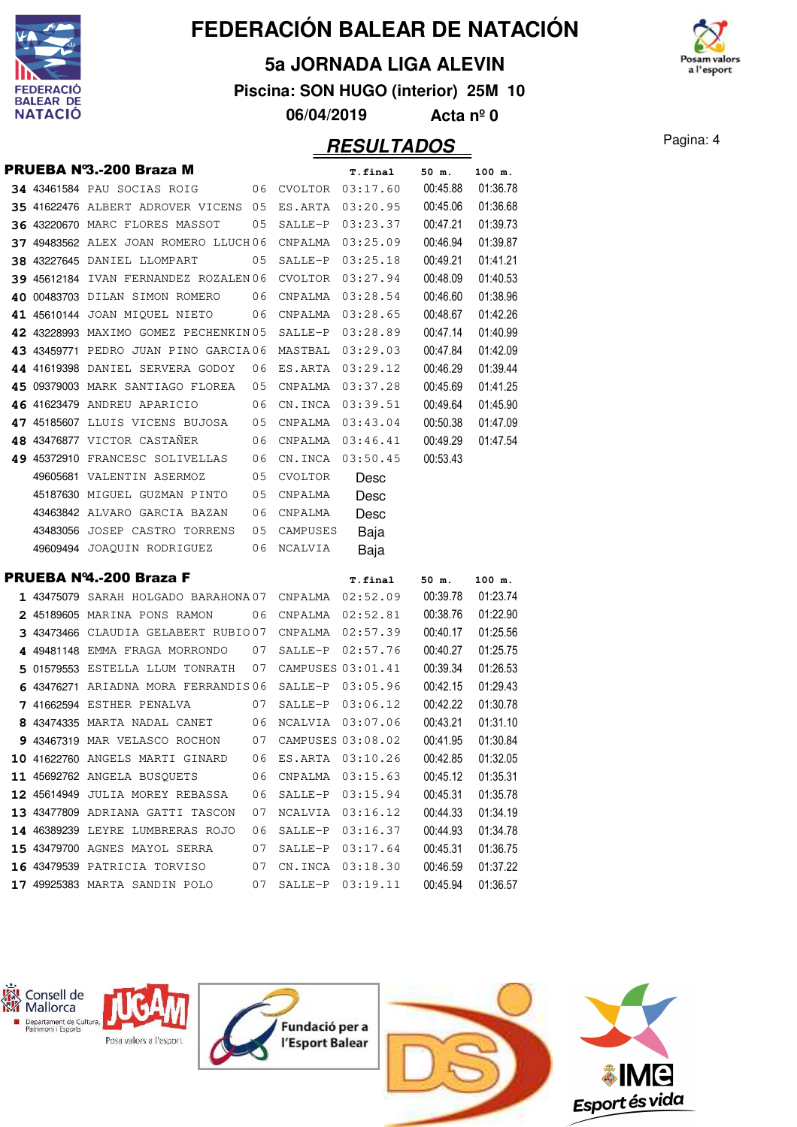

### **5a JORNADA LIGA ALEVIN**

**Piscina: SON HUGO (interior) 25M 10**

**06/04/2019 Acta nº 0**

### **RESULTADOS** Pagina: 4

n valo a l'esport

|  | PRUEBA Nº3.-200 Braza M                                |    |                     | <b>T.final</b>    | 50 m.             | 100 m.             |
|--|--------------------------------------------------------|----|---------------------|-------------------|-------------------|--------------------|
|  | 34 43461584 PAU SOCIAS ROIG                            |    | 06 CVOLTOR 03:17.60 |                   | 00:45.88          | 01:36.78           |
|  | 35 41622476 ALBERT ADROVER VICENS 05                   |    |                     | ES.ARTA 03:20.95  | 00:45.06          | 01:36.68           |
|  | 36 43220670 MARC FLORES MASSOT                         | 05 |                     | SALLE-P 03:23.37  | 00:47.21          | 01:39.73           |
|  | 37 49483562 ALEX JOAN ROMERO LLUCH06                   |    |                     | CNPALMA 03:25.09  | 00:46.94          | 01:39.87           |
|  | <b>38 43227645 DANIEL LLOMPART</b>                     | 05 | SALLE-P             | 03:25.18          | 00:49.21          | 01:41.21           |
|  | 39 45612184 IVAN FERNANDEZ ROZALEN 06                  |    |                     | CVOLTOR 03:27.94  | 00:48.09          | 01:40.53           |
|  | 40 00483703 DILAN SIMON ROMERO                         | 06 |                     | CNPALMA 03:28.54  | 00:46.60          | 01:38.96           |
|  | 41 45610144 JOAN MIQUEL NIETO                          | 06 |                     | CNPALMA 03:28.65  | 00:48.67          | 01:42.26           |
|  | 42 43228993 MAXIMO GOMEZ PECHENKIN 05                  |    |                     | SALLE-P 03:28.89  | 00:47.14          | 01:40.99           |
|  | 43 43459771 PEDRO JUAN PINO GARCIA06                   |    | MASTBAL 03:29.03    |                   | 00:47.84          | 01:42.09           |
|  | 44 41619398 DANIEL SERVERA GODOY 06                    |    | ES.ARTA 03:29.12    |                   | 00:46.29          | 01:39.44           |
|  | 45 09379003 MARK SANTIAGO FLOREA                       | 05 |                     | CNPALMA 03:37.28  | 00:45.69          | 01:41.25           |
|  | 46 41623479 ANDREU APARICIO                            | 06 | CN.INCA             | 03:39.51          | 00:49.64          | 01:45.90           |
|  | 47 45185607 LLUIS VICENS BUJOSA                        | 05 | CNPALMA             | 03:43.04          | 00:50.38          | 01:47.09           |
|  | 48 43476877 VICTOR CASTAÑER                            | 06 |                     | CNPALMA 03:46.41  | 00:49.29          | 01:47.54           |
|  | 49 45372910 FRANCESC SOLIVELLAS                        | 06 |                     | CN. INCA 03:50.45 | 00:53.43          |                    |
|  | 49605681 VALENTIN ASERMOZ                              | 05 | CVOLTOR             | Desc              |                   |                    |
|  | 45187630 MIGUEL GUZMAN PINTO                           | 05 | CNPALMA             | Desc              |                   |                    |
|  | 43463842 ALVARO GARCIA BAZAN                           | 06 | CNPALMA             | Desc              |                   |                    |
|  |                                                        |    |                     |                   |                   |                    |
|  | 43483056 JOSEP CASTRO TORRENS                          | 05 | CAMPUSES            | Baja              |                   |                    |
|  | 49609494 JOAQUIN RODRIGUEZ                             | 06 | NCALVIA             | Baja              |                   |                    |
|  | <b>PRUEBA Nº4.-200 Braza F</b>                         |    |                     |                   |                   |                    |
|  | $1$ 43475079 SARAH HOLGADO BARAHONA07 CNPALMA 02:52.09 |    |                     | <b>T.final</b>    | 50 m.<br>00:39.78 | 100 m.<br>01:23.74 |
|  | 2 45189605 MARINA PONS RAMON                           | 06 |                     | CNPALMA 02:52.81  | 00:38.76          | 01:22.90           |
|  | 3 43473466 CLAUDIA GELABERT RUBIO07                    |    |                     | CNPALMA 02:57.39  | 00:40.17          | 01:25.56           |
|  | 4 49481148 EMMA FRAGA MORRONDO 07                      |    | SALLE-P             | 02:57.76          | 00:40.27          | 01:25.75           |
|  | 5 01579553 ESTELLA LLUM TONRATH                        | 07 | CAMPUSES 03:01.41   |                   | 00:39.34          | 01:26.53           |
|  | 6 43476271 ARIADNA MORA FERRANDIS 06                   |    |                     | SALLE-P 03:05.96  | 00:42.15          | 01:29.43           |
|  | 7 41662594 ESTHER PENALVA                              | 07 |                     | SALLE-P 03:06.12  | 00:42.22          | 01:30.78           |
|  | 8 43474335 MARTA NADAL CANET                           |    | 06 NCALVIA 03:07.06 |                   | 00:43.21          | 01:31.10           |
|  | 9 43467319 MAR VELASCO ROCHON 07 CAMPUSES 03:08.02     |    |                     |                   | 00:41.95          | 01:30.84           |
|  | 10 41622760 ANGELS MARTI GINARD 06 ES.ARTA 03:10.26    |    |                     |                   | 00:42.85          | 01:32.05           |
|  | 11 45692762 ANGELA BUSQUETS                            |    | 06 CNPALMA 03:15.63 |                   | 00:45.12          | 01:35.31           |
|  | 12 45614949 JULIA MOREY REBASSA                        | 06 | SALLE-P 03:15.94    |                   | 00:45.31          | 01:35.78           |
|  | 13 43477809 ADRIANA GATTI TASCON                       | 07 |                     | NCALVIA 03:16.12  | 00:44.33          | 01:34.19           |
|  | 14 46389239 LEYRE LUMBRERAS ROJO                       | 06 |                     | SALLE-P 03:16.37  | 00:44.93          | 01:34.78           |
|  | 15 43479700 AGNES MAYOL SERRA                          | 07 |                     | SALLE-P 03:17.64  | 00:45.31          | 01:36.75           |
|  | 16 43479539 PATRICIA TORVISO                           | 07 | CN. INCA 03:18.30   |                   | 00:46.59          | 01:37.22           |

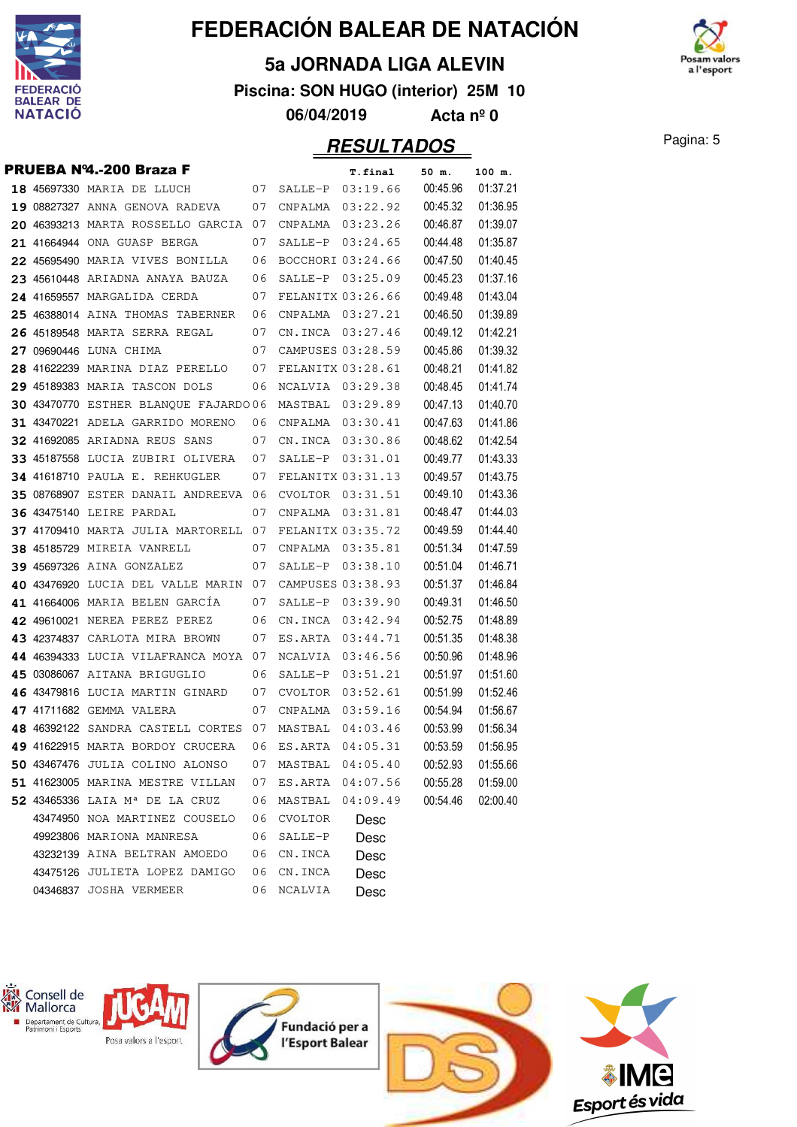

#### **5a JORNADA LIGA ALEVIN**

**Piscina: SON HUGO (interior) 25M 10**

**06/04/2019 Acta nº 0**

|  | PRUEBA Nº4.-200 Braza F                                                        |          |                    | <b>T.final</b>       | 50 m.                | 100 m.               |
|--|--------------------------------------------------------------------------------|----------|--------------------|----------------------|----------------------|----------------------|
|  | 18 45697330 MARIA DE LLUCH                                                     | 07       | SALLE-P            | 03:19.66             | 00:45.96             | 01:37.21             |
|  | 19 08827327 ANNA GENOVA RADEVA                                                 | 07       | CNPALMA            | 03:22.92             | 00:45.32             | 01:36.95             |
|  | 20 46393213 MARTA ROSSELLO GARCIA 07                                           |          | CNPALMA            | 03:23.26             | 00:46.87             | 01:39.07             |
|  | 21 41664944 ONA GUASP BERGA                                                    | 07       | SALLE-P            | 03:24.65             | 00:44.48             | 01:35.87             |
|  | 22 45695490 MARIA VIVES BONILLA                                                | 06       |                    | BOCCHORI 03:24.66    | 00:47.50             | 01:40.45             |
|  | 23 45610448 ARIADNA ANAYA BAUZA                                                | 06       | SALLE-P            | 03:25.09             | 00:45.23             | 01:37.16             |
|  | 24 41659557 MARGALIDA CERDA                                                    | 07       |                    | FELANITX 03:26.66    | 00:49.48             | 01:43.04             |
|  | 25 46388014 AINA THOMAS TABERNER                                               | 06       | CNPALMA            | 03:27.21             | 00:46.50             | 01:39.89             |
|  | 26 45189548 MARTA SERRA REGAL                                                  | 07       |                    | CN.INCA 03:27.46     | 00:49.12             | 01:42.21             |
|  | 27 09690446 LUNA CHIMA                                                         | 07       |                    | CAMPUSES 03:28.59    | 00:45.86             | 01:39.32             |
|  | 28 41622239 MARINA DIAZ PERELLO                                                | 07       |                    | FELANITX 03:28.61    | 00:48.21             | 01:41.82             |
|  | 29 45189383 MARIA TASCON DOLS                                                  | 06       | NCALVIA            | 03:29.38             | 00:48.45             | 01:41.74             |
|  | 30 43470770 ESTHER BLANQUE FAJARDO 06                                          |          |                    | MASTBAL 03:29.89     | 00:47.13             | 01:40.70             |
|  | 31 43470221 ADELA GARRIDO MORENO                                               | 06       | CNPALMA            | 03:30.41             | 00:47.63             | 01:41.86             |
|  | 32 41692085 ARIADNA REUS SANS                                                  | 07       | CN.INCA            | 03:30.86             | 00:48.62             | 01:42.54             |
|  | 33 45187558 LUCIA ZUBIRI OLIVERA                                               | 07       | SALLE-P            | 03:31.01             | 00:49.77             | 01:43.33             |
|  | <b>34 41618710 PAULA E. REHKUGLER</b>                                          | 07       |                    | FELANITX 03:31.13    | 00:49.57             | 01:43.75             |
|  | 35 08768907 ESTER DANAIL ANDREEVA 06                                           |          | CVOLTOR            | 03:31.51             | 00:49.10             | 01:43.36             |
|  | <b>36 43475140 LEIRE PARDAL</b>                                                | 07       | CNPALMA            | 03:31.81             | 00:48.47             | 01:44.03             |
|  | 37 41709410 MARTA JULIA MARTORELL 07                                           |          |                    | FELANITX 03:35.72    | 00:49.59             | 01:44.40             |
|  | <b>38 45185729 MIREIA VANRELL</b>                                              | 07       | CNPALMA            | 03:35.81             | 00:51.34             | 01:47.59             |
|  | 39 45697326 AINA GONZALEZ                                                      | 07       | SALLE-P            | 03:38.10             | 00:51.04             | 01:46.71             |
|  | 40 43476920 LUCIA DEL VALLE MARIN                                              | 07       |                    | CAMPUSES 03:38.93    | 00:51.37             | 01:46.84             |
|  | 41 41664006 MARIA BELEN GARCÍA                                                 | 07       | SALLE-P            | 03:39.90             | 00:49.31             | 01:46.50             |
|  | 42 49610021 NEREA PEREZ PEREZ                                                  | 06       | CN.INCA            | 03:42.94             | 00:52.75             | 01:48.89             |
|  | 43 42374837 CARLOTA MIRA BROWN                                                 | 07       | ES.ARTA            | 03:44.71             | 00:51.35             | 01:48.38             |
|  | 44 46394333 LUCIA VILAFRANCA MOYA                                              | 07       | NCALVIA            | 03:46.56             | 00:50.96             | 01:48.96             |
|  | 45 03086067 AITANA BRIGUGLIO                                                   | 06       | SALLE-P            | 03:51.21             | 00:51.97             | 01:51.60             |
|  | 46 43479816 LUCIA MARTIN GINARD                                                | 07       | CVOLTOR            | 03:52.61             | 00:51.99             | 01:52.46             |
|  | 47 41711682 GEMMA VALERA                                                       | 07       | CNPALMA            | 03:59.16             | 00:54.94             | 01:56.67             |
|  | 48 46392122 SANDRA CASTELL CORTES                                              | 07       | MASTBAL            | 04:03.46             | 00:53.99             | 01:56.34             |
|  | 49 41622915 MARTA BORDOY CRUCERA                                               | 06       | ES.ARTA            | 04:05.31             | 00:53.59<br>00:52.93 | 01:56.95<br>01:55.66 |
|  | 50 43467476 JULIA COLINO ALONSO                                                | 07       | MASTBAL            | 04:05.40<br>04:07.56 | 00:55.28             | 01:59.00             |
|  | 51 41623005 MARINA MESTRE VILLAN<br>52 43465336 LAIA M <sup>a</sup> DE LA CRUZ | 07<br>06 | ES.ARTA            | 04:09.49             |                      |                      |
|  | 43474950 NOA MARTINEZ COUSELO                                                  |          | MASTBAL<br>CVOLTOR |                      | 00:54.46             | 02:00.40             |
|  | 49923806 MARIONA MANRESA                                                       | 06<br>06 | SALLE-P            | Desc                 |                      |                      |
|  | 43232139 AINA BELTRAN AMOEDO                                                   | 06       | CN.INCA            | <b>Desc</b>          |                      |                      |
|  | 43475126 JULIETA LOPEZ DAMIGO                                                  | 06       | CN.INCA            | Desc                 |                      |                      |
|  | 04346837 JOSHA VERMEER                                                         | 06       | NCALVIA            | Desc                 |                      |                      |
|  |                                                                                |          |                    | Desc                 |                      |                      |



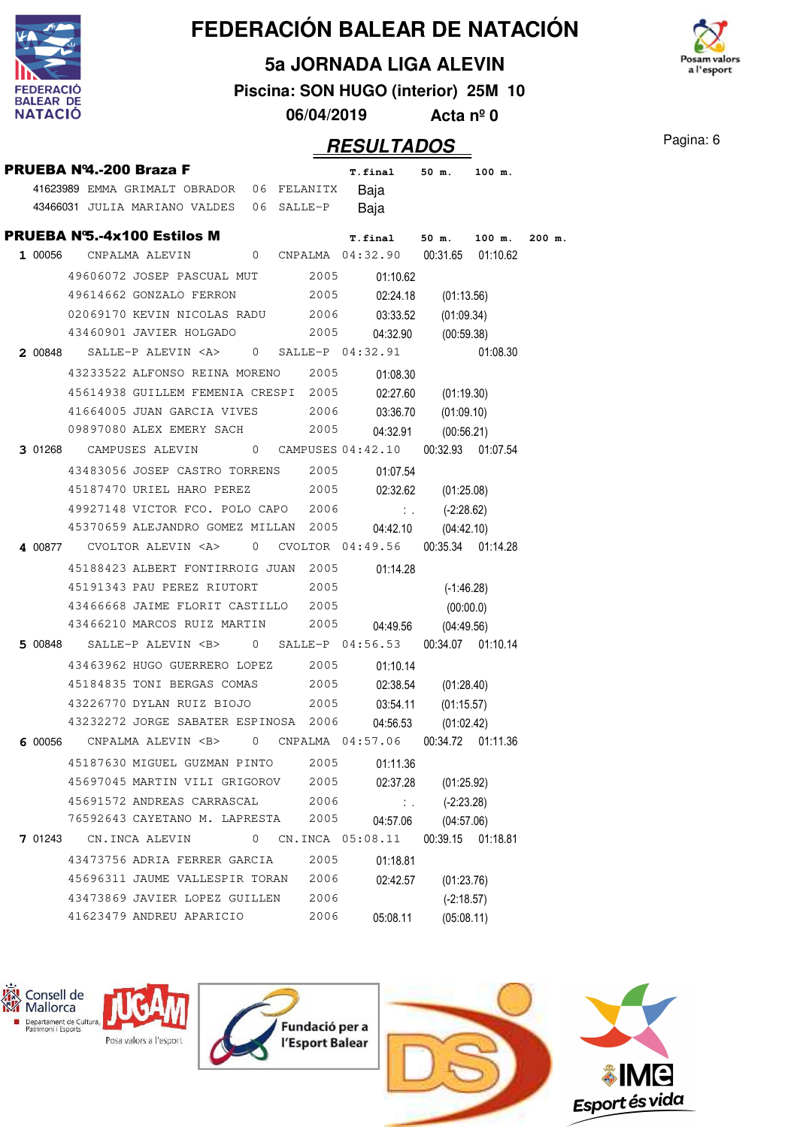

## **5a JORNADA LIGA ALEVIN**



**Piscina: SON HUGO (interior) 25M 10**

**06/04/2019 Acta nº 0**

| PRUEBA Nº4.-200 Braza F |                                                                     |                |      | T.final 50 m.    |                         | 100 m.            |          |
|-------------------------|---------------------------------------------------------------------|----------------|------|------------------|-------------------------|-------------------|----------|
|                         | 41623989 EMMA GRIMALT OBRADOR 06 FELANITX                           |                |      | Baja             |                         |                   |          |
|                         | 43466031 JULIA MARIANO VALDES 06 SALLE-P                            |                |      | Baja             |                         |                   |          |
|                         | <b>PRUEBA N°5.-4x100 Estilos M</b>                                  |                |      | $T. final$ 50 m. |                         | 100 m.            | $200$ m. |
|                         | 1 00056 CNPALMA ALEVIN 0 CNPALMA 04:32.90 00:31.65 01:10.62         |                |      |                  |                         |                   |          |
|                         | 49606072 JOSEP PASCUAL MUT 2005 01:10.62                            |                |      |                  |                         |                   |          |
|                         | 49614662 GONZALO FERRON                                             |                |      | 2005<br>02:24.18 |                         | (01:13.56)        |          |
|                         | 02069170 KEVIN NICOLAS RADU 2006 03:33.52 (01:09.34)                |                |      |                  |                         |                   |          |
|                         | 43460901 JAVIER HOLGADO 2005 04:32.90                               |                |      |                  |                         | (00:59.38)        |          |
|                         | 2 00848 SALLE-P ALEVIN <a> 0 SALLE-P 04:32.91</a>                   |                |      |                  |                         | 01:08.30          |          |
|                         | 43233522 ALFONSO REINA MORENO 2005                                  |                |      | 01:08.30         |                         |                   |          |
|                         | 45614938 GUILLEM FEMENIA CRESPI 2005                                |                |      |                  | 02:27.60 (01:19.30)     |                   |          |
|                         | 41664005 JUAN GARCIA VIVES 2006 03:36.70 (01:09.10)                 |                |      |                  |                         |                   |          |
|                         | 09897080 ALEX EMERY SACH 2005                                       |                |      | 04:32.91         |                         | (00:56.21)        |          |
|                         | 3 01268 CAMPUSES ALEVIN 0 CAMPUSES 04:42.10 00:32.93 01:07.54       |                |      |                  |                         |                   |          |
|                         | 43483056 JOSEP CASTRO TORRENS 2005                                  |                |      | 01:07.54         |                         |                   |          |
|                         | 45187470 URIEL HARO PEREZ 2005                                      |                |      |                  | 02:32.62 (01:25.08)     |                   |          |
|                         | 49927148 VICTOR FCO. POLO CAPO 2006                                 |                |      |                  | $\therefore$ (-2:28.62) |                   |          |
|                         | 45370659 ALEJANDRO GOMEZ MILLAN 2005                                |                |      | 04:42.10         |                         | (04:42.10)        |          |
|                         | 4 00877 CVOLTOR ALEVIN <a> 0 CVOLTOR 04:49.56 00:35.34 01:14.28</a> |                |      |                  |                         |                   |          |
|                         | 45188423 ALBERT FONTIRROIG JUAN 2005 01:14.28                       |                |      |                  |                         |                   |          |
|                         | 45191343 PAU PEREZ RIUTORT 2005                                     |                |      |                  |                         | $(-1:46.28)$      |          |
|                         | 43466668 JAIME FLORIT CASTILLO 2005                                 |                |      |                  |                         | (00:00.0)         |          |
|                         | 43466210 MARCOS RUIZ MARTIN 2005                                    |                |      | 04:49.56         |                         | (04:49.56)        |          |
|                         | 5 00848 SALLE-P ALEVIN <b> 0 SALLE-P 04:56.53 00:34.07 01:10.14</b> |                |      |                  |                         |                   |          |
|                         | 43463962 HUGO GUERRERO LOPEZ 2005                                   |                |      | 01:10.14         |                         |                   |          |
|                         | 45184835 TONI BERGAS COMAS 2005 02:38.54 (01:28.40)                 |                |      |                  |                         |                   |          |
|                         | 43226770 DYLAN RUIZ BIOJO 2005 03:54.11                             |                |      |                  |                         | (01:15.57)        |          |
|                         | 43232272 JORGE SABATER ESPINOSA 2006                                |                |      | 04:56.53         |                         | (01:02.42)        |          |
|                         | 6 00056 CNPALMA ALEVIN <b> 0 CNPALMA 04:57.06 00:34.72 01:11.36</b> |                |      |                  |                         |                   |          |
|                         | 45187630 MIGUEL GUZMAN PINTO                                        |                | 2005 | 01:11.36         |                         |                   |          |
|                         | 45697045 MARTIN VILI GRIGOROV                                       |                | 2005 | 02:37.28         |                         | (01:25.92)        |          |
|                         | 45691572 ANDREAS CARRASCAL                                          |                | 2006 |                  | $\mathbb{Z}^n$ .        | $(-2:23.28)$      |          |
|                         | 76592643 CAYETANO M. LAPRESTA                                       |                | 2005 | 04:57.06         |                         | (04:57.06)        |          |
|                         | 7 01243 CN.INCA ALEVIN                                              | $\overline{0}$ |      | CN.INCA 05:08.11 |                         | 00:39.15 01:18.81 |          |
|                         | 43473756 ADRIA FERRER GARCIA                                        |                | 2005 | 01:18.81         |                         |                   |          |
|                         | 45696311 JAUME VALLESPIR TORAN                                      |                | 2006 | 02:42.57         |                         | (01:23.76)        |          |
|                         | 43473869 JAVIER LOPEZ GUILLEN                                       |                | 2006 |                  |                         | $(-2:18.57)$      |          |
|                         | 41623479 ANDREU APARICIO                                            |                | 2006 | 05:08.11         |                         | (05:08.11)        |          |